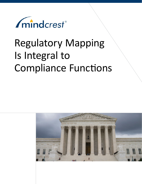

# Regulatory Mapping Is Integral to Compliance Functions

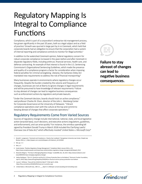## Regulatory Mapping Is Integral to Compliance Functions

Compliance, which is part of a corporation's enterprise risk management process, has grown significantly in the past 20 years, both as a legal subject and as a field of practice.1 Growth was spurred in large part by *In re Caremark,* which held that corporate boards had an obligation to ensure that the corporation had a system of internal reporting and compliance controls to monitor for illegal activities.2

In addition to the watershed *Caremark* opinion, federal regulatory concern for robust corporate compliance increased in the years before and after *Caremark* in disparate regulatory fields, including antitrust, financial services, health care, and defense contracting. An example of that interest is found in the U.S. Sentencing Commission's Organizational Sentencing Guidelines, which made the presence and quality of a compliance program a factor for consideration when imposing federal penalties for criminal wrongdoing. Likewise, the Sarbanes-Oxley Act mandated new requirements to address the risk of financial misreporting.3

Many businesses operate in environments where regulatory changes occur frequently. Despite the burden created by the volume and frequency of changes, businesses are not at liberty to ignore changes in legal requirements and will be presumed to have knowledge of relevant requirements.<sup>4</sup> Failure to stay abreast of changes can lead to negative business consequences such as enforcement actions by regulators and private lawsuits.

"Under the *Caremark* decision, boards should insist on active compliance," said professor Charles M. Elson, director of the John L. Weinberg Center for Corporate Governance at the University of Delaware. "Vibrant compliance operations start with the culture at the top and commit to keeping abreast of changes that affect corporate operations."

#### Regulatory Requirements Come from Varied Sources

Sources of regulatory change include international, national, state, and local legislative action (enacted laws), court decisions, and executive actions (regulations, guidelines, and enforcement), and can arise quickly.<sup>5</sup> For instance, the omnibus spending bill signed by President Donald Trump in March 2018 included the Clarifying Lawful Overseas Use of Data Act,<sup>6</sup> which effectively mooted<sup>7</sup> United States v. Microsoft Corp.<sup>8</sup>

3 Ibid, p. 2

4 Carole Switzer, "Reckless Regulatory Change Management," *Compliance Week,* January 2014, p. 42, https://www.complianceweek.com/news/news-article/reckless-regulatory-change-management#.Wwbe0\_ZFzIV

- 5 Alexandra Megaris, "The Keys to Managing Regulatory Change," insideARM, Dec. 20, 2017, https://www.insidearm.com/ news/00043553-keys-managing-regulatory-change/
- 6 Katitza Rodriguez, "The U.S. Cloud Act and the EU: A Privacy Protection Race to the Bottom," Electronic Frontier Foundation, April 9, 2018, https://www.eff.org/deeplinks/2018/04/us-cloud-act-and-eu-privacy-protection-race-bottom
- 7 Lauren C. Williams, "How will the CLOUD Act Work?", FCW, April 5, 2018, https://fcw.com/articles/2018/04/05/cloud-act-in-practice.aspx

8 United States v. Microsoft Corp., 584 U.S. \_\_\_ (April 17, 2018) (per curium) (vacating and remanding case)



**Failure to stay abreast of changes can lead to negative business consequences.**



<sup>1</sup> Donald C. Langevoort, "*Caremark* and Compliance: a Twenty Year Lookback," Georgetown University Law Center, *Temple Law Review,* 2018, p. 1, https://papers.ssrn.com/sol3/papers.cfm?abstract\_id=3135950

<sup>2</sup> Ibid, pp. 1−2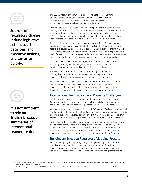**Sources of regulatory change include legislative action, court decisions, and executive actions, and can arise quickly.**



**It is not sufficient to rely on English language summaries of international requirements.**

The CLOUD Act lays out parameters for responding to federal warrants, and the Department of Justice served a warrant for the information on Microsoft less than two weeks after passage of the Act—even though questions remain about the effects of the legislation.<sup>9</sup>

In addition to federal legislation, companies are potentially subject to the laws and regulations of 50 U.S. states, multiple federal territories, and Native American tribes, as well as more than 35,000 municipal governments and more than 3,000 county governments, all of which have legislative and executive functions. Many of these jurisdictions also have judicial and quasi-judicial functions.

Judicial decisions also bring about regulatory changes. The U.S. has a multitude of judicial sources of change. In addition to the courts in the 50 states, there are 94 federal trial courts, 13 federal courts of appeal—which in the year ending in March 2017 handled almost 6,500 federal agency appeals<sup>10</sup>—and the U.S. Supreme Court. Each of these courts issues rulings related to labor and employment, the environment, privacy, and the like, which affect companies nationally and internationally.

Last, executive agencies at the federal, state, and local levels are responsible for issuing rules, regulations, and guidelines related to legislation and judicial opinions, and for civil and criminal enforcement actions.

The level of activity in the U.S. alone can be daunting. In addition to U.S. regulatory entities, many companies must also stay current with changes instituted by international governments, courts, and bodies.

Because regulatory change comes from the many different sources described above, companies must regularly monitor multiple venues of possible change. The stakes for staying informed are high, and attempting to follow frequently changing regulatory requirements can seem overwhelming.

#### International Regulatory Field Presents Challenges

Carole Switzer, president and co-founder of the non-profit OCEG (the Open Compliance and Ethics Group) noted the high level of challenge presented by the varied sources of regulatory change, particularly at the international level.

"One big challenge is native language," she said. "We can see English proposed or final regulations, but what about those from Japan or Saudi Arabia or other countries which operate in their own language? It is not sufficient in most cases to only read a brief English summary, or even a supposed English translation, which is often incorrect."

Switzer highlighted the challenge presented when attempting to map the meaning and coverage of regulations that overlap or are from different countries, as well as those presented by varying levels of specificity in laws. "Some countries' laws themselves have significant detail, while in other countries the regulations, or even policy documents, are where the real requirements are found," she said.

#### Building an Effective Regulatory Mapping Process

Regulatory mapping, or regulatory change management, is part of a business's compliance program and is the mechanism for being aware of regulatory changes. Businesses use regulatory mapping to identify the laws, regulations, and requirements specific to them and their industry, products, and geographic area.

<sup>9</sup> Elizabeth Harding, Romaine Marshall, Craig Stewart, "The CLOUD Act: Where It Sheds Light and Where Shadows Remain," JDSUPRA, May 15, 2018, https://www.jdsupra.com/legalnews/thecloud-act-where-it-sheds-light-and-95969/

<sup>10</sup> "U.S. Courts of Appeal—Judicial Business 2017," Administrative Office of the U.S. Courts, http://www.uscourts.gov/statistics-reports/us-courts-appeals-judicial-business-2017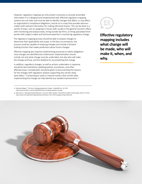However, regulatory mapping can only protect a business or provide actionable information if it is designed and implemented well. Effective regulatory mapping systems are not static and must be able to identify changes that affect, or may affect, an organization's compliance obligations, and do so in a way that provides decisionmakers with relevant information for making informed choices. This can be done in a variety of ways, such as assigning in-house staff, usually in the general counsel's office, with monitoring and analysis tasks, hiring outside law firms, or hiring specialized third parties with subject matter and technical expertise in monitoring regulatory change.

The regulatory mapping process should be able to analyze changes to determine their applicability and scope. In the best circumstances, the process could be capable of analyzing changes and include a forwardlooking function that makes predictions about future changes.

Effective mapping also requires implementing processes to satisfy obligations once changes are identified and understood. Implementation should include not only what change must be undertaken, but also who will make the change and how, and the deadline for accomplishing the change.

In addition, regulatory changes, as well as actions undertaken in response, should be documented by updating policies, procedures, and other affected areas. Consideration should be given to documenting the reasons for the changes with regulatory analysis supporting why certain steps were taken.<sup>11</sup> Conducting an audit or internal review a few months after implementing the change can help identify any needed improvements.<sup>12</sup>

11 Alexandra Megaris, "The Keys to Managing Regulatory Change," insideARM, Dec. 20, 2017, https://www.insidearm.com/news/00043553-keys-managing-regulatory-change/

12 Allison Burns, "Managing Change Effectively—Consumer Affairs Update," Federal Reserve Bank of Minneapolis, March 14, 2016, https://www.minneapolisfed.org/publications/banking-in-the-ninth/managing-change-effectively



**Effective regulatory mapping includes what change will be made, who will make it, when, and why.**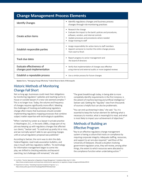| <b>Change Management Process Elements</b>                |                                                                                                                                                                                                                            |  |  |  |  |  |  |  |  |  |  |
|----------------------------------------------------------|----------------------------------------------------------------------------------------------------------------------------------------------------------------------------------------------------------------------------|--|--|--|--|--|--|--|--|--|--|
| <b>Identify Changes</b>                                  | Identify regulatory changes and business process<br>٠<br>changes through risk-monitoring practices                                                                                                                         |  |  |  |  |  |  |  |  |  |  |
| Create action items                                      | • Research the change<br>Evaluate the impact to the bank's policies and procedures,<br>٠<br>software, vendors, and internal controls<br>Update processes and procedures where needed<br>٠<br>Assign training to staff<br>٠ |  |  |  |  |  |  |  |  |  |  |
| Establish responsible parties                            | Assign responsibility for action items to staff members<br>٠<br>Appoint someone to monitor the entire change process<br>٠<br>from start to finish                                                                          |  |  |  |  |  |  |  |  |  |  |
| Track due dates                                          | Report progress to senior management and<br>the board of directors                                                                                                                                                         |  |  |  |  |  |  |  |  |  |  |
| Evaluate effectiveness of<br>changes post-implementation | Verify that implementation of changes was effective<br>using internal and external audits or more targeted reviews                                                                                                         |  |  |  |  |  |  |  |  |  |  |
| Establish a repeatable process                           | Use a similar process for future changes<br>٠                                                                                                                                                                              |  |  |  |  |  |  |  |  |  |  |

**Source:** Burns, "Managing Change Effectively," Federal Reserve Bank of Minneapolis

#### Historic Methods of Monitoring Change Fall Short

Not so long ago, businesses could meet their obligations by monitoring regulators' websites and reaching out to inhouse or outside lawyers if a new rule seemed complex.<sup>13</sup> This is no longer true. Today, the volume and frequency of changes requires significantly more effort. Meeting the challenges of tracking and addressing regulatory change often means that businesses should consider implementing regulatory mapping processes that combine subject matter expertise with technological capabilities.

"When I started my career as a lawyer in private practice in Washington, D.C., in the early 1980s, a large part of my job was keeping up with regulatory changes that affected our clients," Switzer said. "It could end up pretty hit or miss, and we normally weren't able to see upcoming changes until an actual regulatory proposal was published."

According to Switzer, the norm was to skim the daily Federal Register, read trade association bulletins, and stay in touch with key regulatory staffers. "As technology for information management began to come into play, we shifted to checking websites and keyword searching, but challenges still remained," she said.

"The great breakthrough today, in being able to more completely identify requirements in the first instance, is the advent of machine learning and artificial intelligence," Switzer said. Getting the "big data" view from thousands of sources is helpful but can also be problematic.

"You can end up drowning in data," she said. "So, it is essential to keep the human element for defining what is necessary to monitor, what is meaningful to read, and what is most likely to impact your achievement of objectives."

#### Methods of Building an Effective Program

"Key to an effective regulatory change management system is having a culture that insists on compliance by requiring corporate integrity. Adequate staffing, resources, and support to act are also required," said Elson of the University of Delaware. Should a situation involving government regulators arise, they will review, among other things, the extent to which resources were allocated to the compliance function when undertaking action. $14$ 

14 Department of Justice, "Evaluating Corporate Compliance Programs," p. 2, https://www.justice.gov/criminal-fraud/page/file/937501/download

<sup>13</sup> Joe Mont, "Smarter Approaches to Regulatory Change Management," *Compliance Week,* April 17, 2015,

https://www.complianceweek.com/news/news-article/smarter-approaches-to-regulatory-change-management#.WwbnzPZFzIV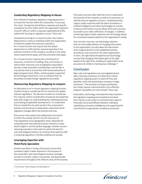#### *Conducting Regulatory Mapping In-House*

One method of creating a regulatory mapping process is to house the function within the corporation. If pursuing this route, "companies should have a separate and specific compliance function either within the organization's general counsel's office or within a separate organizational entity tasked with focusing on regulatory issues," Elson said.

Companies pursuing an in-house function may create a department or name an individual within the organization to build and update the necessary repository. An in-house function will require that the tasked department or staff maintain required expertise in the business functions of the company, as well as in the areas where requirements apply, and how and when they apply.

An in-house function requires the commitment of resources, in the form of staffing, time, and money, as well as other resources such as legislative subscription services, trade association memberships, and the like. It may also be wise to ensure that staff receive education in legal and government affairs, and be properly supported by technology investments, such as software that can accurately translate foreign regulations accurately.

#### *Outsourcing Regulatory Mapping to Lawyers*

An alternative to an in-house regulatory mapping function involves hiring an outside law firm to monitor and update relevant regulations. The decision to retain an outside law firm requires careful consideration of expense and expertise, both with respect to understanding the underlying business and tracking all applicable developments. It is imperative that an outside firm be well-versed in the corporation's business and processes to adequately understand which regulatory changes affect the business and how.

One concern that needs to be addressed is the extent to which the outside law firm has the resources to map regulations across geographic areas, especially for companies with international business interests in areas where English is not the spoken language. Another concern requiring evaluation is the extent to which the law firm uses technological solutions to minimize time spent by staff in analyzing regulations, thereby enabling cost savings.

#### *Leveraging Expertise with Third-Party Specialists*

Another possibility is hiring a third-party service that combines subject matter expertise in the business of the corporation with technological solutions and legal acumen to monitor, collect, incorporate, and disseminate requirements throughout the relevant areas of the business. Third-party services often take the time to understand the business of the company, as well as its processes, to identify areas of regulatory concern. Coupling business subject matter expertise with the latest innovations in artificial intelligence and other technologies to monitor numerous information sources allows third-party services to provide up-to-date notification of changes. In addition, combining subject matter expertise with technology allows for customized analysis tailored to the organization's needs.

Such services may even use technology solutions that not only enable delivery of changing information to the organization, but also allow the information to be mapped directly to the established policies, procedures, and controls for the client organization. In short, the right blend of expertise and technology ensures that changing information gets to the right people at the right time, enabling an organization to be accurate and nimble in meeting new challenges.<sup>15</sup>

#### **Conclusion**

New rules and regulations are promulgated almost daily, requiring companies to implement a robust regulatory mapping system to ward off fines and penalties, while also protecting a company's image and brand. "The law does not require perfection, but it does require a demonstration of an effective program if penalties are to be limited," Elson said.

Automation, technology, and expertise help transform the regulatory mapping and compliance functions from merely a cost center to a function that supports financially sound and efficient decision-making by capitalizing on business intelligence and supporting the commitment to appropriate compliance processes.



<sup>15</sup> Carole Switzer, "Reckless Regulatory Change Management"